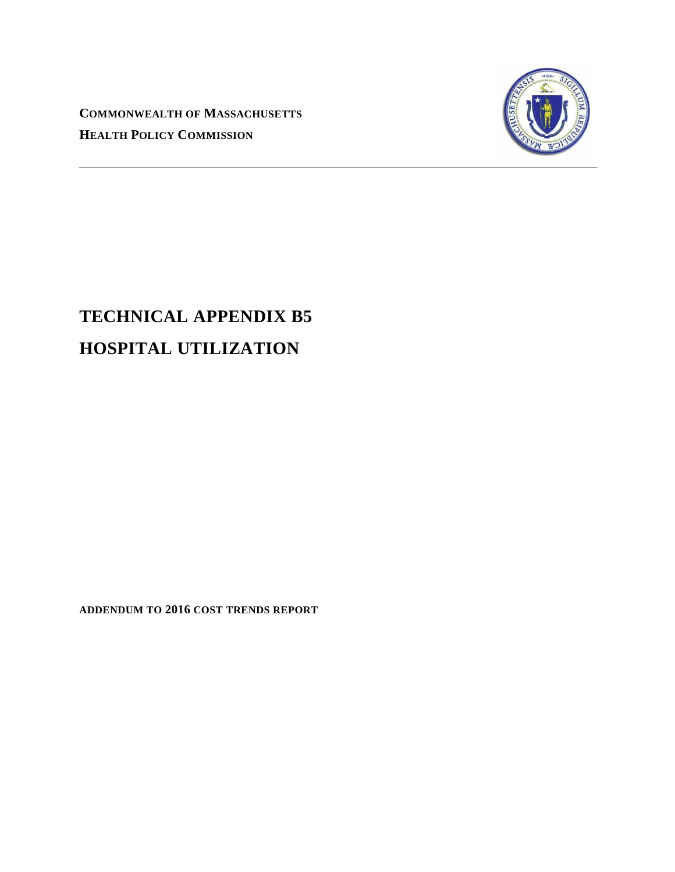**COMMONWEALTH OF MASSACHUSETTS HEALTH POLICY COMMISSION**



# **TECHNICAL APPENDIX B5 HOSPITAL UTILIZATION**

**ADDENDUM TO 2016 COST TRENDS REPORT**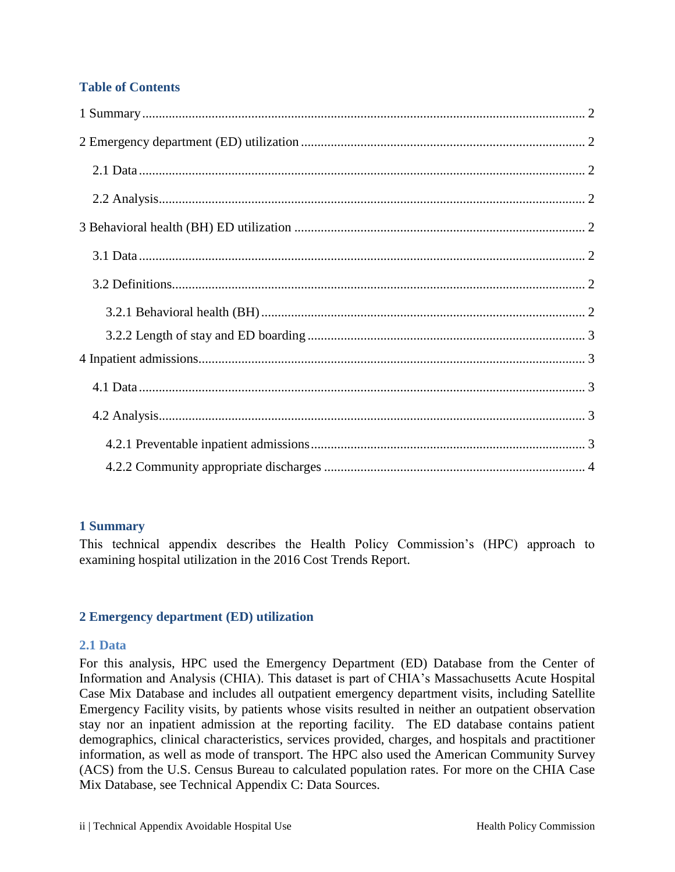# **Table of Contents**

## <span id="page-1-0"></span>**1 Summary**

This technical appendix describes the Health Policy Commission's (HPC) approach to examining hospital utilization in the 2016 Cost Trends Report.

# <span id="page-1-1"></span>**2 Emergency department (ED) utilization**

## <span id="page-1-2"></span>**2.1 Data**

For this analysis, HPC used the Emergency Department (ED) Database from the Center of Information and Analysis (CHIA). This dataset is part of CHIA's Massachusetts Acute Hospital Case Mix Database and includes all outpatient emergency department visits, including Satellite Emergency Facility visits, by patients whose visits resulted in neither an outpatient observation stay nor an inpatient admission at the reporting facility. The ED database contains patient demographics, clinical characteristics, services provided, charges, and hospitals and practitioner information, as well as mode of transport. The HPC also used the American Community Survey (ACS) from the U.S. Census Bureau to calculated population rates. For more on the CHIA Case Mix Database, see Technical Appendix C: Data Sources.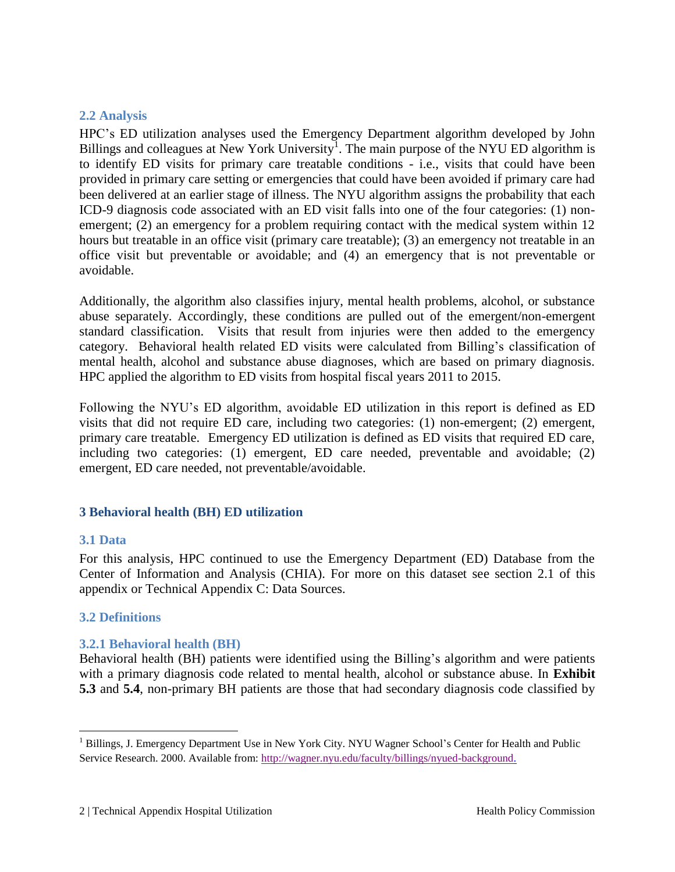# <span id="page-2-0"></span>**2.2 Analysis**

HPC's ED utilization analyses used the Emergency Department algorithm developed by John Billings and colleagues at New York University<sup>1</sup>. The main purpose of the NYU ED algorithm is to identify ED visits for primary care treatable conditions - i.e., visits that could have been provided in primary care setting or emergencies that could have been avoided if primary care had been delivered at an earlier stage of illness. The NYU algorithm assigns the probability that each ICD-9 diagnosis code associated with an ED visit falls into one of the four categories: (1) nonemergent; (2) an emergency for a problem requiring contact with the medical system within 12 hours but treatable in an office visit (primary care treatable); (3) an emergency not treatable in an office visit but preventable or avoidable; and (4) an emergency that is not preventable or avoidable.

Additionally, the algorithm also classifies injury, mental health problems, alcohol, or substance abuse separately. Accordingly, these conditions are pulled out of the emergent/non-emergent standard classification. Visits that result from injuries were then added to the emergency category. Behavioral health related ED visits were calculated from Billing's classification of mental health, alcohol and substance abuse diagnoses, which are based on primary diagnosis. HPC applied the algorithm to ED visits from hospital fiscal years 2011 to 2015.

Following the NYU's ED algorithm, avoidable ED utilization in this report is defined as ED visits that did not require ED care, including two categories: (1) non-emergent; (2) emergent, primary care treatable. Emergency ED utilization is defined as ED visits that required ED care, including two categories: (1) emergent, ED care needed, preventable and avoidable; (2) emergent, ED care needed, not preventable/avoidable.

# <span id="page-2-1"></span>**3 Behavioral health (BH) ED utilization**

## <span id="page-2-2"></span>**3.1 Data**

 $\overline{a}$ 

For this analysis, HPC continued to use the Emergency Department (ED) Database from the Center of Information and Analysis (CHIA). For more on this dataset see section 2.1 of this appendix or Technical Appendix C: Data Sources.

# <span id="page-2-3"></span>**3.2 Definitions**

# <span id="page-2-4"></span>**3.2.1 Behavioral health (BH)**

Behavioral health (BH) patients were identified using the Billing's algorithm and were patients with a primary diagnosis code related to mental health, alcohol or substance abuse. In **Exhibit 5.3** and **5.4**, non-primary BH patients are those that had secondary diagnosis code classified by

<sup>&</sup>lt;sup>1</sup> Billings, J. Emergency Department Use in New York City. NYU Wagner School's Center for Health and Public Service Research. 2000. Available from: [http://wagner.nyu.edu/faculty/billings/nyued-background.](http://wagner.nyu.edu/faculty/billings/nyued-background)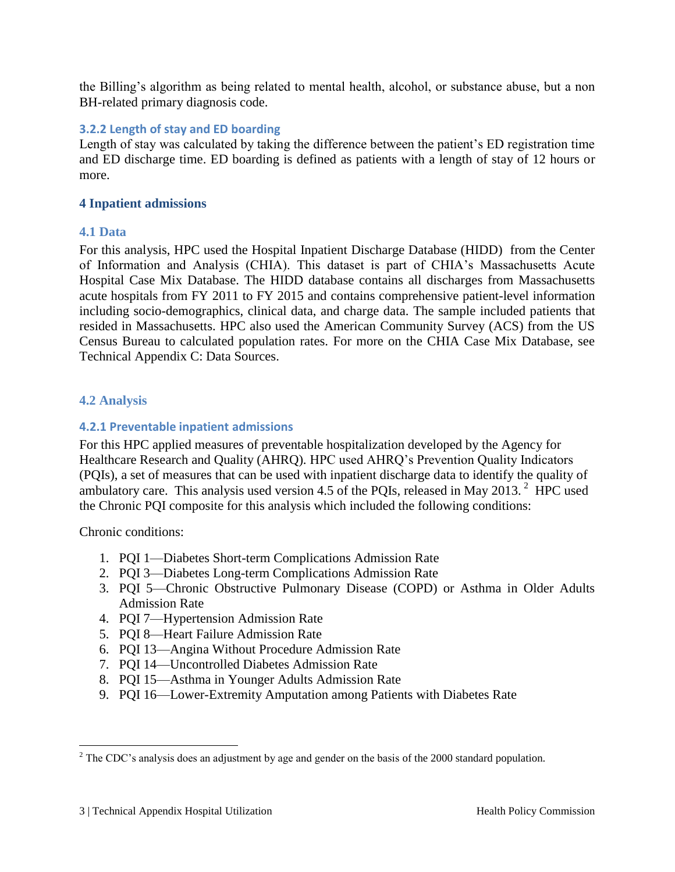the Billing's algorithm as being related to mental health, alcohol, or substance abuse, but a non BH-related primary diagnosis code.

## <span id="page-3-0"></span>**3.2.2 Length of stay and ED boarding**

Length of stay was calculated by taking the difference between the patient's ED registration time and ED discharge time. ED boarding is defined as patients with a length of stay of 12 hours or more.

## <span id="page-3-1"></span>**4 Inpatient admissions**

#### <span id="page-3-2"></span>**4.1 Data**

For this analysis, HPC used the Hospital Inpatient Discharge Database (HIDD) from the Center of Information and Analysis (CHIA). This dataset is part of CHIA's Massachusetts Acute Hospital Case Mix Database. The HIDD database contains all discharges from Massachusetts acute hospitals from FY 2011 to FY 2015 and contains comprehensive patient-level information including socio-demographics, clinical data, and charge data. The sample included patients that resided in Massachusetts. HPC also used the American Community Survey (ACS) from the US Census Bureau to calculated population rates. For more on the CHIA Case Mix Database, see Technical Appendix C: Data Sources.

## <span id="page-3-3"></span>**4.2 Analysis**

# <span id="page-3-4"></span>**4.2.1 Preventable inpatient admissions**

For this HPC applied measures of preventable hospitalization developed by the Agency for Healthcare Research and Quality (AHRQ). HPC used AHRQ's Prevention Quality Indicators (PQIs), a set of measures that can be used with inpatient discharge data to identify the quality of ambulatory care. This analysis used version 4.5 of the PQIs, released in May 2013. <sup>2</sup> HPC used the Chronic PQI composite for this analysis which included the following conditions:

Chronic conditions:

 $\overline{a}$ 

- 1. PQI 1—Diabetes Short-term Complications Admission Rate
- 2. PQI 3—Diabetes Long-term Complications Admission Rate
- 3. PQI 5—Chronic Obstructive Pulmonary Disease (COPD) or Asthma in Older Adults Admission Rate
- 4. PQI 7—Hypertension Admission Rate
- 5. PQI 8—Heart Failure Admission Rate
- 6. PQI 13—Angina Without Procedure Admission Rate
- 7. PQI 14—Uncontrolled Diabetes Admission Rate
- 8. PQI 15—Asthma in Younger Adults Admission Rate
- 9. PQI 16—Lower-Extremity Amputation among Patients with Diabetes Rate

 $2^2$  The CDC's analysis does an adjustment by age and gender on the basis of the 2000 standard population.